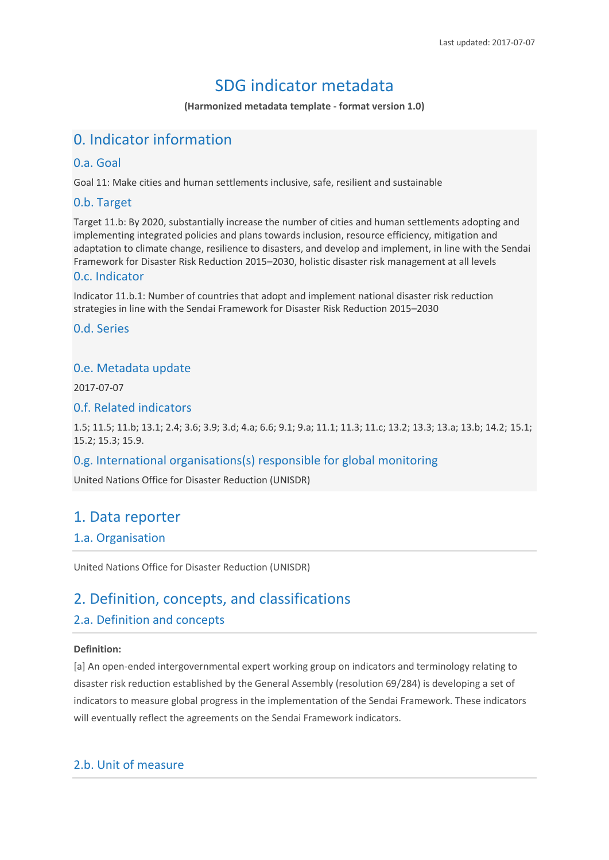# SDG indicator metadata

**(Harmonized metadata template - format version 1.0)**

# 0. Indicator information

### 0.a. Goal

Goal 11: Make cities and human settlements inclusive, safe, resilient and sustainable

## 0.b. Target

Target 11.b: By 2020, substantially increase the number of cities and human settlements adopting and implementing integrated policies and plans towards inclusion, resource efficiency, mitigation and adaptation to climate change, resilience to disasters, and develop and implement, in line with the Sendai Framework for Disaster Risk Reduction 2015–2030, holistic disaster risk management at all levels

### 0.c. Indicator

Indicator 11.b.1: Number of countries that adopt and implement national disaster risk reduction strategies in line with the Sendai Framework for Disaster Risk Reduction 2015–2030

0.d. Series

### 0.e. Metadata update

2017-07-07

#### 0.f. Related indicators

1.5; 11.5; 11.b; 13.1; 2.4; 3.6; 3.9; 3.d; 4.a; 6.6; 9.1; 9.a; 11.1; 11.3; 11.c; 13.2; 13.3; 13.a; 13.b; 14.2; 15.1; 15.2; 15.3; 15.9.

### 0.g. International organisations(s) responsible for global monitoring

United Nations Office for Disaster Reduction (UNISDR)

## 1. Data reporter

### 1.a. Organisation

United Nations Office for Disaster Reduction (UNISDR)

## 2. Definition, concepts, and classifications

### 2.a. Definition and concepts

#### **Definition:**

[a] An open-ended intergovernmental expert working group on indicators and terminology relating to disaster risk reduction established by the General Assembly (resolution 69/284) is developing a set of indicators to measure global progress in the implementation of the Sendai Framework. These indicators will eventually reflect the agreements on the Sendai Framework indicators.

## 2.b. Unit of measure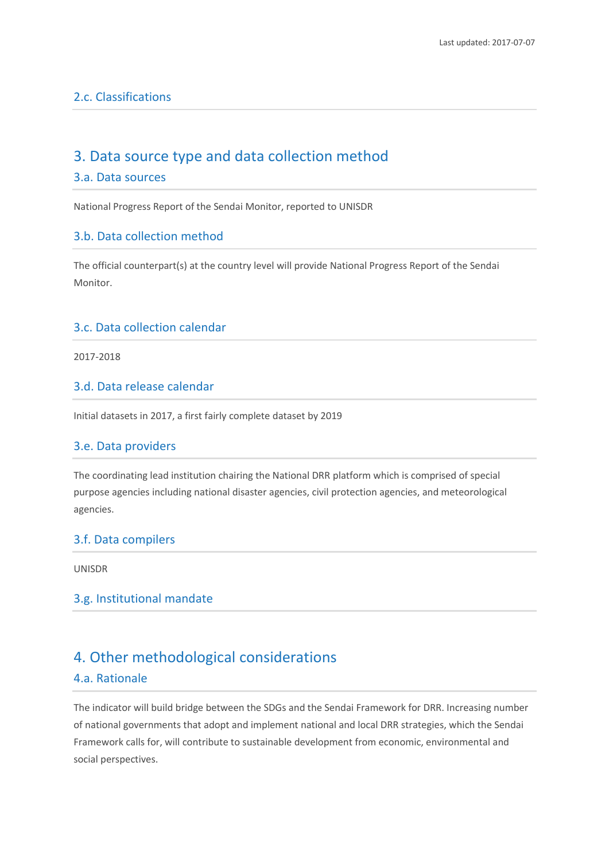## 2.c. Classifications

## 3. Data source type and data collection method

#### 3.a. Data sources

National Progress Report of the Sendai Monitor, reported to UNISDR

### 3.b. Data collection method

The official counterpart(s) at the country level will provide National Progress Report of the Sendai Monitor.

### 3.c. Data collection calendar

2017-2018

### 3.d. Data release calendar

Initial datasets in 2017, a first fairly complete dataset by 2019

#### 3.e. Data providers

The coordinating lead institution chairing the National DRR platform which is comprised of special purpose agencies including national disaster agencies, civil protection agencies, and meteorological agencies.

#### 3.f. Data compilers

UNISDR

#### 3.g. Institutional mandate

## 4. Other methodological considerations

#### 4.a. Rationale

The indicator will build bridge between the SDGs and the Sendai Framework for DRR. Increasing number of national governments that adopt and implement national and local DRR strategies, which the Sendai Framework calls for, will contribute to sustainable development from economic, environmental and social perspectives.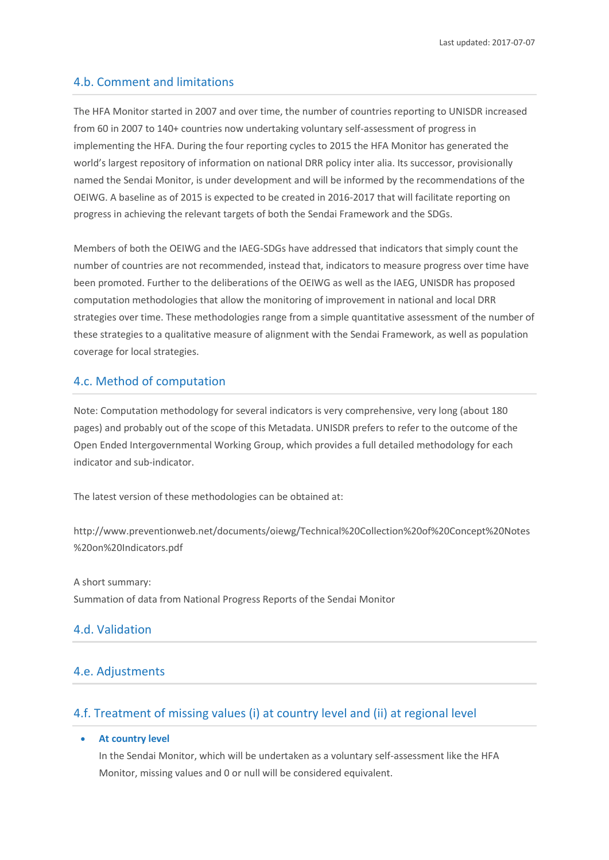### 4.b. Comment and limitations

The HFA Monitor started in 2007 and over time, the number of countries reporting to UNISDR increased from 60 in 2007 to 140+ countries now undertaking voluntary self-assessment of progress in implementing the HFA. During the four reporting cycles to 2015 the HFA Monitor has generated the world's largest repository of information on national DRR policy inter alia. Its successor, provisionally named the Sendai Monitor, is under development and will be informed by the recommendations of the OEIWG. A baseline as of 2015 is expected to be created in 2016-2017 that will facilitate reporting on progress in achieving the relevant targets of both the Sendai Framework and the SDGs.

Members of both the OEIWG and the IAEG-SDGs have addressed that indicators that simply count the number of countries are not recommended, instead that, indicators to measure progress over time have been promoted. Further to the deliberations of the OEIWG as well as the IAEG, UNISDR has proposed computation methodologies that allow the monitoring of improvement in national and local DRR strategies over time. These methodologies range from a simple quantitative assessment of the number of these strategies to a qualitative measure of alignment with the Sendai Framework, as well as population coverage for local strategies.

#### 4.c. Method of computation

Note: Computation methodology for several indicators is very comprehensive, very long (about 180 pages) and probably out of the scope of this Metadata. UNISDR prefers to refer to the outcome of the Open Ended Intergovernmental Working Group, which provides a full detailed methodology for each indicator and sub-indicator.

The latest version of these methodologies can be obtained at:

http://www.preventionweb.net/documents/oiewg/Technical%20Collection%20of%20Concept%20Notes %20on%20Indicators.pdf

A short summary: Summation of data from National Progress Reports of the Sendai Monitor

### 4.d. Validation

#### 4.e. Adjustments

### 4.f. Treatment of missing values (i) at country level and (ii) at regional level

#### • **At country level**

In the Sendai Monitor, which will be undertaken as a voluntary self-assessment like the HFA Monitor, missing values and 0 or null will be considered equivalent.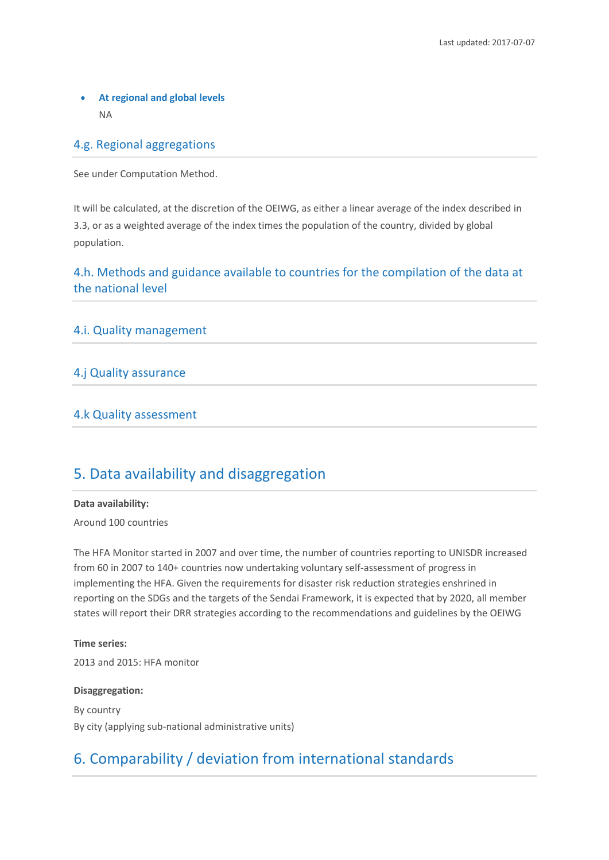## • **At regional and global levels** NA

## 4.g. Regional aggregations

See under Computation Method.

It will be calculated, at the discretion of the OEIWG, as either a linear average of the index described in 3.3, or as a weighted average of the index times the population of the country, divided by global population.

## 4.h. Methods and guidance available to countries for the compilation of the data at the national level

#### 4.i. Quality management

### 4.j Quality assurance

#### 4.k Quality assessment

## 5. Data availability and disaggregation

#### **Data availability:**

Around 100 countries

The HFA Monitor started in 2007 and over time, the number of countries reporting to UNISDR increased from 60 in 2007 to 140+ countries now undertaking voluntary self-assessment of progress in implementing the HFA. Given the requirements for disaster risk reduction strategies enshrined in reporting on the SDGs and the targets of the Sendai Framework, it is expected that by 2020, all member states will report their DRR strategies according to the recommendations and guidelines by the OEIWG

#### **Time series:**

2013 and 2015: HFA monitor

#### **Disaggregation:**

By country By city (applying sub-national administrative units)

# 6. Comparability / deviation from international standards